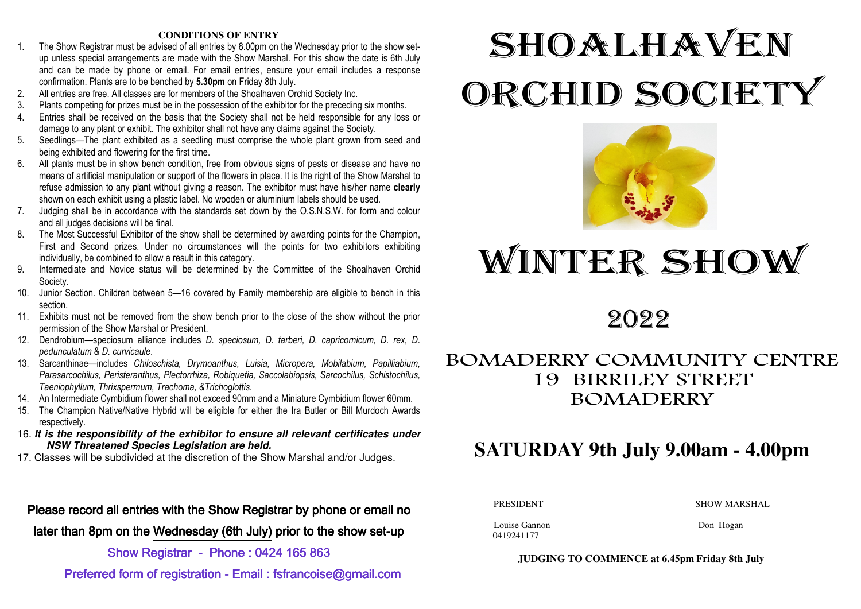#### **CONDITIONS OF ENTRY**

- 1. The Show Registrar must be advised of all entries by 8.00pm on the Wednesday prior to the show setup unless special arrangements are made with the Show Marshal. For this show the date is 6th July and can be made by phone or email. For email entries, ensure your email includes a response confirmation. Plants are to be benched by **5.30pm** on Friday 8th July.
- 2. All entries are free. All classes are for members of the Shoalhaven Orchid Society Inc.
- 3. Plants competing for prizes must be in the possession of the exhibitor for the preceding six months.
- 4. Entries shall be received on the basis that the Society shall not be held responsible for any loss or damage to any plant or exhibit. The exhibitor shall not have any claims against the Society.
- 5. Seedlings—The plant exhibited as a seedling must comprise the whole plant grown from seed and being exhibited and flowering for the first time.
- 6. All plants must be in show bench condition, free from obvious signs of pests or disease and have no means of artificial manipulation or support of the flowers in place. It is the right of the Show Marshal to refuse admission to any plant without giving a reason. The exhibitor must have his/her name **clearly** shown on each exhibit using a plastic label. No wooden or aluminium labels should be used.
- 7. Judging shall be in accordance with the standards set down by the O.S.N.S.W. for form and colour and all judges decisions will be final.
- 8. The Most Successful Exhibitor of the show shall be determined by awarding points for the Champion, First and Second prizes. Under no circumstances will the points for two exhibitors exhibiting individually, be combined to allow a result in this category.
- 9. Intermediate and Novice status will be determined by the Committee of the Shoalhaven Orchid Society.
- 10. Junior Section. Children between 5—16 covered by Family membership are eligible to bench in this section.
- 11. Exhibits must not be removed from the show bench prior to the close of the show without the prior permission of the Show Marshal or President.
- 12. Dendrobium—speciosum alliance includes *D. speciosum, D. tarberi, D. capricornicum, D. rex, D*. *pedunculatum* & *D. curvicaule*.
- 13. Sarcanthinae—includes *Chiloschista, Drymoanthus, Luisia, Micropera, Mobilabium, Papilliabium, Parasarcochilus, Peristeranthus, Plectorrhiza, Robiquetia, Saccolabiopsis, Sarcochilus, Schistochilus,Taeniophyllum, Thrixspermum, Trachoma, &Trichoglottis*.
- 14. An Intermediate Cymbidium flower shall not exceed 90mm and a Miniature Cymbidium flower 60mm.
- 15. The Champion Native/Native Hybrid will be eligible for either the Ira Butler or Bill Murdoch Awards respectively.
- 16. **It is the responsibility of the exhibitor to ensure all relevant certificates under NSW Threatened Species Legislation are held.**
- 17. Classes will be subdivided at the discretion of the Show Marshal and/or Judges.

## Please record all entries with the Show Registrar by phone or email no

later than 8pm on the Wednesday (6th July) prior to the show set-up

### Show Registrar - Phone : 0424 165 863

Preferred form of registration - Email : fsfrancoise@gmail.com

# SHOALHAVEN ORCHID SOCIETY



## WINTER SHOW

## 2022

## BOMADERRY COMMUNITY CENTRE 19 BIRRILEY STREET BOMADERRY

## **SATURDAY 9th July 9.00am - 4.00pm**

PRESIDENT SHOW MARSHAL

Louise Gannon Don Hogan 0419241177

**JUDGING TO COMMENCE at 6.45pm Friday 8th July**